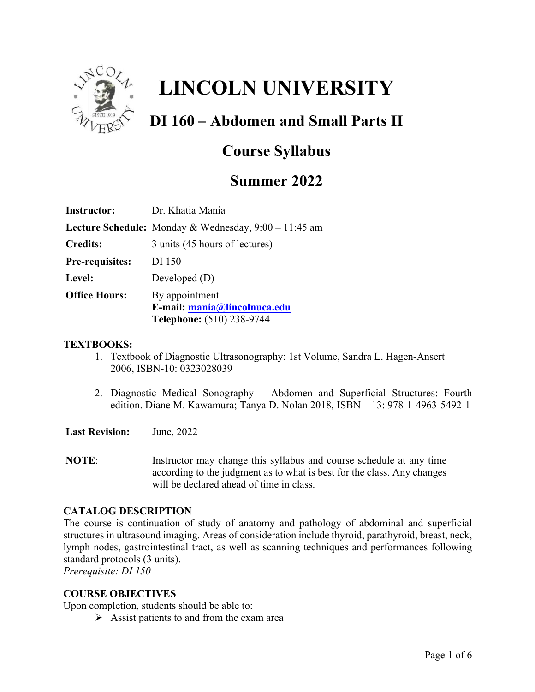

# **LINCOLN UNIVERSITY**

# **DI 160 – Abdomen and Small Parts II**

## **Course Syllabus**

### **Summer 2022**

| Dr. Khatia Mania                                                                   |
|------------------------------------------------------------------------------------|
| Lecture Schedule: Monday & Wednesday, 9:00 – 11:45 am                              |
| 3 units (45 hours of lectures)                                                     |
| DI 150                                                                             |
| Developed $(D)$                                                                    |
| By appointment<br>E-mail: mania@lincolnuca.edu<br><b>Telephone:</b> (510) 238-9744 |
|                                                                                    |

#### **TEXTBOOKS:**

- 1. Textbook of Diagnostic Ultrasonography: 1st Volume, Sandra L. Hagen-Ansert 2006, ISBN-10: 0323028039
- 2. Diagnostic Medical Sonography Abdomen and Superficial Structures: Fourth edition. Diane M. Kawamura; Tanya D. Nolan 2018, ISBN – 13: 978-1-4963-5492-1

**Last Revision:** June, 2022

**NOTE:** Instructor may change this syllabus and course schedule at any time according to the judgment as to what is best for the class. Any changes will be declared ahead of time in class.

#### **CATALOG DESCRIPTION**

The course is continuation of study of anatomy and pathology of abdominal and superficial structures in ultrasound imaging. Areas of consideration include thyroid, parathyroid, breast, neck, lymph nodes, gastrointestinal tract, as well as scanning techniques and performances following standard protocols (3 units).

*Prerequisite: DI 150*

#### **COURSE OBJECTIVES**

Upon completion, students should be able to:

 $\triangleright$  Assist patients to and from the exam area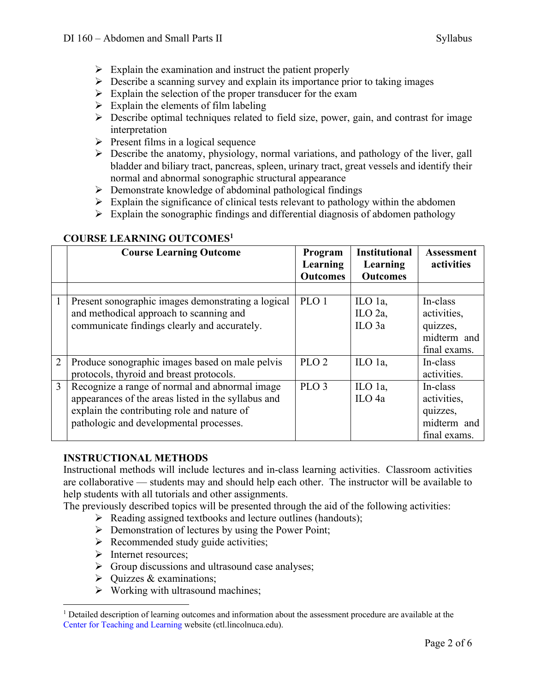- $\triangleright$  Explain the examination and instruct the patient properly
- $\triangleright$  Describe a scanning survey and explain its importance prior to taking images
- $\triangleright$  Explain the selection of the proper transducer for the exam
- $\triangleright$  Explain the elements of film labeling
- $\triangleright$  Describe optimal techniques related to field size, power, gain, and contrast for image interpretation
- $\triangleright$  Present films in a logical sequence
- $\triangleright$  Describe the anatomy, physiology, normal variations, and pathology of the liver, gall bladder and biliary tract, pancreas, spleen, urinary tract, great vessels and identify their normal and abnormal sonographic structural appearance
- $\triangleright$  Demonstrate knowledge of abdominal pathological findings
- $\triangleright$  Explain the significance of clinical tests relevant to pathology within the abdomen
- $\triangleright$  Explain the sonographic findings and differential diagnosis of abdomen pathology

|                | <b>Course Learning Outcome</b>                                                                                                                                                                  | Program<br>Learning | <b>Institutional</b><br>Learning           | <b>Assessment</b><br>activities                                    |
|----------------|-------------------------------------------------------------------------------------------------------------------------------------------------------------------------------------------------|---------------------|--------------------------------------------|--------------------------------------------------------------------|
|                |                                                                                                                                                                                                 | <b>Outcomes</b>     | <b>Outcomes</b>                            |                                                                    |
|                |                                                                                                                                                                                                 |                     |                                            |                                                                    |
|                | Present sonographic images demonstrating a logical<br>and methodical approach to scanning and<br>communicate findings clearly and accurately.                                                   | PLO <sub>1</sub>    | ILO 1a,<br>ILO $2a$ ,<br>ILO <sub>3a</sub> | In-class<br>activities,<br>quizzes,<br>midterm and<br>final exams. |
| $\overline{2}$ | Produce sonographic images based on male pelvis<br>protocols, thyroid and breast protocols.                                                                                                     | PLO <sub>2</sub>    | ILO 1a,                                    | In-class<br>activities.                                            |
| 3              | Recognize a range of normal and abnormal image<br>appearances of the areas listed in the syllabus and<br>explain the contributing role and nature of<br>pathologic and developmental processes. | PLO <sub>3</sub>    | ILO 1a,<br>ILO <sub>4a</sub>               | In-class<br>activities,<br>quizzes,<br>midterm and<br>final exams. |

#### **COURSE LEARNING OUTCOMES1**

#### **INSTRUCTIONAL METHODS**

Instructional methods will include lectures and in-class learning activities. Classroom activities are collaborative –– students may and should help each other. The instructor will be available to help students with all tutorials and other assignments.

The previously described topics will be presented through the aid of the following activities:

- $\triangleright$  Reading assigned textbooks and lecture outlines (handouts);
- $\triangleright$  Demonstration of lectures by using the Power Point;
- $\triangleright$  Recommended study guide activities;
- $\triangleright$  Internet resources:
- $\triangleright$  Group discussions and ultrasound case analyses;
- $\triangleright$  Ouizzes & examinations:
- $\triangleright$  Working with ultrasound machines;

 $1$  Detailed description of learning outcomes and information about the assessment procedure are available at the Center for Teaching and Learning website (ctl.lincolnuca.edu).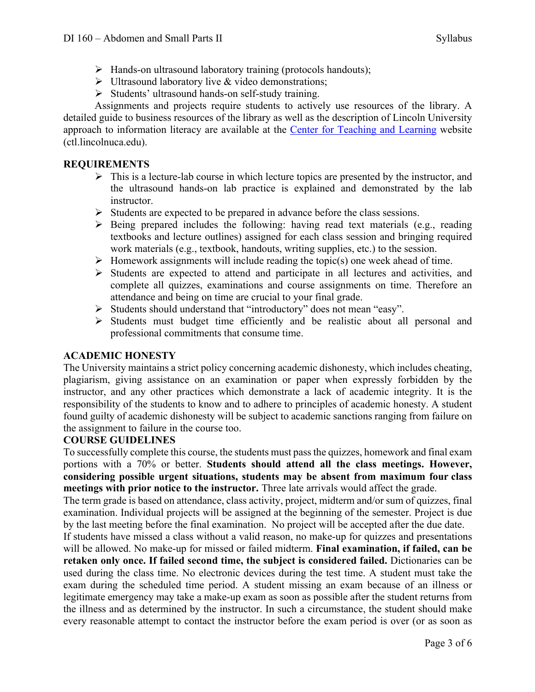- $\triangleright$  Hands-on ultrasound laboratory training (protocols handouts);
- $\triangleright$  Ultrasound laboratory live & video demonstrations;
- $\triangleright$  Students' ultrasound hands-on self-study training.

Assignments and projects require students to actively use resources of the library. A detailed guide to business resources of the library as well as the description of Lincoln University approach to information literacy are available at the Center for Teaching and Learning website (ctl.lincolnuca.edu).

#### **REQUIREMENTS**

- $\triangleright$  This is a lecture-lab course in which lecture topics are presented by the instructor, and the ultrasound hands-on lab practice is explained and demonstrated by the lab instructor.
- $\triangleright$  Students are expected to be prepared in advance before the class sessions.
- $\triangleright$  Being prepared includes the following: having read text materials (e.g., reading textbooks and lecture outlines) assigned for each class session and bringing required work materials (e.g., textbook, handouts, writing supplies, etc.) to the session.
- $\triangleright$  Homework assignments will include reading the topic(s) one week ahead of time.
- $\triangleright$  Students are expected to attend and participate in all lectures and activities, and complete all quizzes, examinations and course assignments on time. Therefore an attendance and being on time are crucial to your final grade.
- Ø Students should understand that "introductory" does not mean "easy".
- $\triangleright$  Students must budget time efficiently and be realistic about all personal and professional commitments that consume time.

#### **ACADEMIC HONESTY**

The University maintains a strict policy concerning academic dishonesty, which includes cheating, plagiarism, giving assistance on an examination or paper when expressly forbidden by the instructor, and any other practices which demonstrate a lack of academic integrity. It is the responsibility of the students to know and to adhere to principles of academic honesty. A student found guilty of academic dishonesty will be subject to academic sanctions ranging from failure on the assignment to failure in the course too.

#### **COURSE GUIDELINES**

To successfully complete this course, the students must pass the quizzes, homework and final exam portions with a 70% or better. **Students should attend all the class meetings. However, considering possible urgent situations, students may be absent from maximum four class meetings with prior notice to the instructor.** Three late arrivals would affect the grade.

The term grade is based on attendance, class activity, project, midterm and/or sum of quizzes, final examination. Individual projects will be assigned at the beginning of the semester. Project is due by the last meeting before the final examination. No project will be accepted after the due date.

If students have missed a class without a valid reason, no make-up for quizzes and presentations will be allowed. No make-up for missed or failed midterm. **Final examination, if failed, can be retaken only once. If failed second time, the subject is considered failed.** Dictionaries can be used during the class time. No electronic devices during the test time. A student must take the exam during the scheduled time period. A student missing an exam because of an illness or legitimate emergency may take a make-up exam as soon as possible after the student returns from the illness and as determined by the instructor. In such a circumstance, the student should make every reasonable attempt to contact the instructor before the exam period is over (or as soon as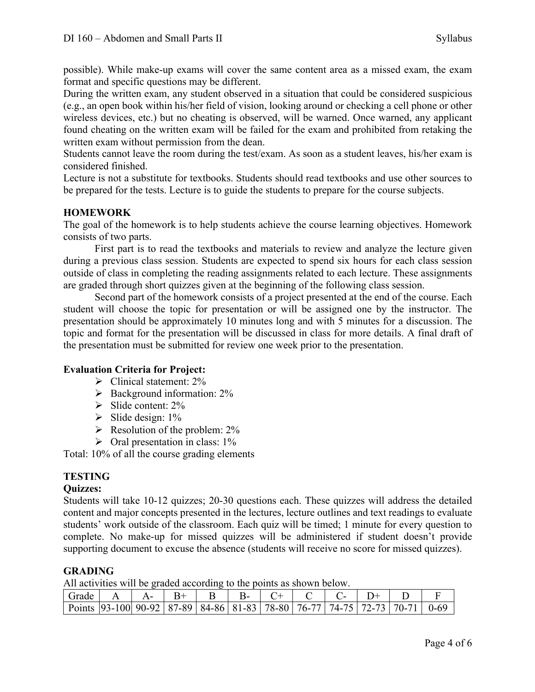possible). While make-up exams will cover the same content area as a missed exam, the exam format and specific questions may be different.

During the written exam, any student observed in a situation that could be considered suspicious (e.g., an open book within his/her field of vision, looking around or checking a cell phone or other wireless devices, etc.) but no cheating is observed, will be warned. Once warned, any applicant found cheating on the written exam will be failed for the exam and prohibited from retaking the written exam without permission from the dean.

Students cannot leave the room during the test/exam. As soon as a student leaves, his/her exam is considered finished.

Lecture is not a substitute for textbooks. Students should read textbooks and use other sources to be prepared for the tests. Lecture is to guide the students to prepare for the course subjects.

#### **HOMEWORK**

The goal of the homework is to help students achieve the course learning objectives. Homework consists of two parts.

First part is to read the textbooks and materials to review and analyze the lecture given during a previous class session. Students are expected to spend six hours for each class session outside of class in completing the reading assignments related to each lecture. These assignments are graded through short quizzes given at the beginning of the following class session.

Second part of the homework consists of a project presented at the end of the course. Each student will choose the topic for presentation or will be assigned one by the instructor. The presentation should be approximately 10 minutes long and with 5 minutes for a discussion. The topic and format for the presentation will be discussed in class for more details. A final draft of the presentation must be submitted for review one week prior to the presentation.

#### **Evaluation Criteria for Project:**

- $\triangleright$  Clinical statement: 2%
- $\triangleright$  Background information: 2%
- $\triangleright$  Slide content: 2%
- $\triangleright$  Slide design: 1%
- $\triangleright$  Resolution of the problem: 2%
- $\triangleright$  Oral presentation in class: 1%

Total: 10% of all the course grading elements

#### **TESTING**

#### **Quizzes:**

Students will take 10-12 quizzes; 20-30 questions each. These quizzes will address the detailed content and major concepts presented in the lectures, lecture outlines and text readings to evaluate students' work outside of the classroom. Each quiz will be timed; 1 minute for every question to complete. No make-up for missed quizzes will be administered if student doesn't provide supporting document to excuse the absence (students will receive no score for missed quizzes).

#### **GRADING**

All activities will be graded according to the points as shown below.

| Grade                                                                                   |  |  |  |  |  |  |
|-----------------------------------------------------------------------------------------|--|--|--|--|--|--|
| Points   93-100   90-92   87-89   84-86   81-83   78-80   76-77   74-75   72-73   70-71 |  |  |  |  |  |  |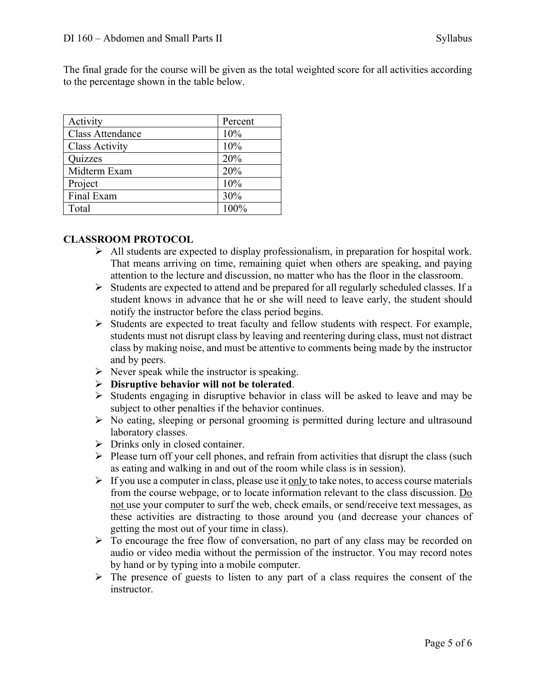The final grade for the course will be given as the total weighted score for all activities according to the percentage shown in the table below.

| Activity                | Percent |
|-------------------------|---------|
| <b>Class Attendance</b> | 10%     |
| <b>Class Activity</b>   | 10%     |
| Quizzes                 | 20%     |
| Midterm Exam            | 20%     |
| Project                 | 10%     |
| Final Exam              | 30%     |
| Total                   | 100%    |

#### **CLASSROOM PROTOCOL**

- $\triangleright$  All students are expected to display professionalism, in preparation for hospital work. That means arriving on time, remaining quiet when others are speaking, and paying attention to the lecture and discussion, no matter who has the floor in the classroom.
- $\triangleright$  Students are expected to attend and be prepared for all regularly scheduled classes. If a student knows in advance that he or she will need to leave early, the student should notify the instructor before the class period begins.
- Ø Students are expected to treat faculty and fellow students with respect. For example, students must not disrupt class by leaving and reentering during class, must not distract class by making noise, and must be attentive to comments being made by the instructor and by peers.
- $\triangleright$  Never speak while the instructor is speaking.
- Ø **Disruptive behavior will not be tolerated**.
- $\triangleright$  Students engaging in disruptive behavior in class will be asked to leave and may be subject to other penalties if the behavior continues.
- $\triangleright$  No eating, sleeping or personal grooming is permitted during lecture and ultrasound laboratory classes.
- $\triangleright$  Drinks only in closed container.
- $\triangleright$  Please turn off your cell phones, and refrain from activities that disrupt the class (such as eating and walking in and out of the room while class is in session).
- $\triangleright$  If you use a computer in class, please use it only to take notes, to access course materials from the course webpage, or to locate information relevant to the class discussion. Do not use your computer to surf the web, check emails, or send/receive text messages, as these activities are distracting to those around you (and decrease your chances of getting the most out of your time in class).
- $\triangleright$  To encourage the free flow of conversation, no part of any class may be recorded on audio or video media without the permission of the instructor. You may record notes by hand or by typing into a mobile computer.
- $\triangleright$  The presence of guests to listen to any part of a class requires the consent of the instructor.